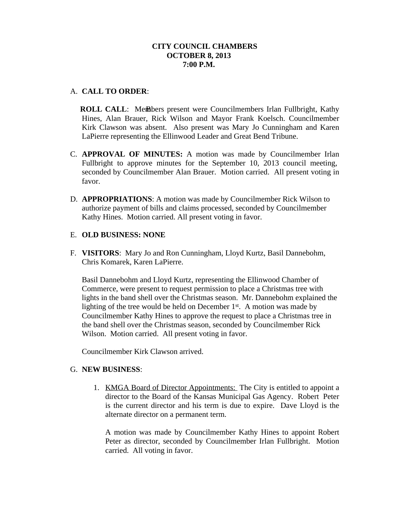# **CITY COUNCIL CHAMBERS OCTOBER 8, 2013 7:00 P.M.**

# A. **CALL TO ORDER**:

**ROLL CALL:** Members present were Councilmembers Irlan Fullbright, Kathy Hines, Alan Brauer, Rick Wilson and Mayor Frank Koelsch. Councilmember Kirk Clawson was absent. Also present was Mary Jo Cunningham and Karen LaPierre representing the Ellinwood Leader and Great Bend Tribune.

- C. **APPROVAL OF MINUTES:** A motion was made by Councilmember Irlan Fullbright to approve minutes for the September 10, 2013 council meeting, seconded by Councilmember Alan Brauer. Motion carried. All present voting in favor.
- D. **APPROPRIATIONS**: A motion was made by Councilmember Rick Wilson to authorize payment of bills and claims processed, seconded by Councilmember Kathy Hines. Motion carried. All present voting in favor.

## E. **OLD BUSINESS: NONE**

F. **VISITORS**: Mary Jo and Ron Cunningham, Lloyd Kurtz, Basil Dannebohm, Chris Komarek, Karen LaPierre.

Basil Dannebohm and Lloyd Kurtz, representing the Ellinwood Chamber of Commerce, were present to request permission to place a Christmas tree with lights in the band shell over the Christmas season. Mr. Dannebohm explained the lighting of the tree would be held on December  $1<sup>st</sup>$ . A motion was made by Councilmember Kathy Hines to approve the request to place a Christmas tree in the band shell over the Christmas season, seconded by Councilmember Rick Wilson. Motion carried. All present voting in favor.

Councilmember Kirk Clawson arrived.

#### G. **NEW BUSINESS**:

1. KMGA Board of Director Appointments: The City is entitled to appoint a director to the Board of the Kansas Municipal Gas Agency. Robert Peter is the current director and his term is due to expire. Dave Lloyd is the alternate director on a permanent term.

A motion was made by Councilmember Kathy Hines to appoint Robert Peter as director, seconded by Councilmember Irlan Fullbright. Motion carried. All voting in favor.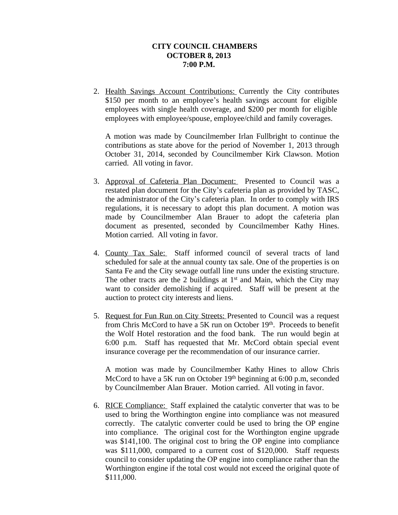## **CITY COUNCIL CHAMBERS OCTOBER 8, 2013 7:00 P.M.**

2. Health Savings Account Contributions: Currently the City contributes \$150 per month to an employee's health savings account for eligible employees with single health coverage, and \$200 per month for eligible employees with employee/spouse, employee/child and family coverages.

A motion was made by Councilmember Irlan Fullbright to continue the contributions as state above for the period of November 1, 2013 through October 31, 2014, seconded by Councilmember Kirk Clawson. Motion carried. All voting in favor.

- 3. Approval of Cafeteria Plan Document: Presented to Council was a restated plan document for the City's cafeteria plan as provided by TASC, the administrator of the City's cafeteria plan. In order to comply with IRS regulations, it is necessary to adopt this plan document. A motion was made by Councilmember Alan Brauer to adopt the cafeteria plan document as presented, seconded by Councilmember Kathy Hines. Motion carried. All voting in favor.
- 4. County Tax Sale: Staff informed council of several tracts of land scheduled for sale at the annual county tax sale. One of the properties is on Santa Fe and the City sewage outfall line runs under the existing structure. The other tracts are the 2 buildings at  $1<sup>st</sup>$  and Main, which the City may want to consider demolishing if acquired. Staff will be present at the auction to protect city interests and liens.
- 5. Request for Fun Run on City Streets: Presented to Council was a request from Chris McCord to have a 5K run on October 19th. Proceeds to benefit the Wolf Hotel restoration and the food bank. The run would begin at 6:00 p.m. Staff has requested that Mr. McCord obtain special event insurance coverage per the recommendation of our insurance carrier.

A motion was made by Councilmember Kathy Hines to allow Chris McCord to have a 5K run on October 19th beginning at 6:00 p.m, seconded by Councilmember Alan Brauer. Motion carried. All voting in favor.

6. RICE Compliance: Staff explained the catalytic converter that was to be used to bring the Worthington engine into compliance was not measured correctly. The catalytic converter could be used to bring the OP engine into compliance. The original cost for the Worthington engine upgrade was \$141,100. The original cost to bring the OP engine into compliance was \$111,000, compared to a current cost of \$120,000. Staff requests council to consider updating the OP engine into compliance rather than the Worthington engine if the total cost would not exceed the original quote of \$111,000.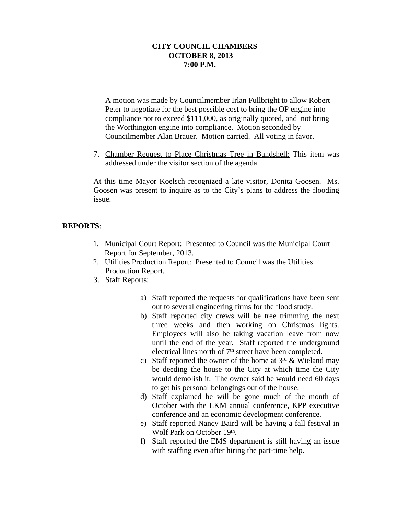## **CITY COUNCIL CHAMBERS OCTOBER 8, 2013 7:00 P.M.**

A motion was made by Councilmember Irlan Fullbright to allow Robert Peter to negotiate for the best possible cost to bring the OP engine into compliance not to exceed \$111,000, as originally quoted, and not bring the Worthington engine into compliance. Motion seconded by Councilmember Alan Brauer. Motion carried. All voting in favor.

7. Chamber Request to Place Christmas Tree in Bandshell: This item was addressed under the visitor section of the agenda.

At this time Mayor Koelsch recognized a late visitor, Donita Goosen. Ms. Goosen was present to inquire as to the City's plans to address the flooding issue.

# **REPORTS**:

- 1. Municipal Court Report: Presented to Council was the Municipal Court Report for September, 2013.
- 2. Utilities Production Report: Presented to Council was the Utilities Production Report.
- 3. Staff Reports:
	- a) Staff reported the requests for qualifications have been sent out to several engineering firms for the flood study.
	- b) Staff reported city crews will be tree trimming the next three weeks and then working on Christmas lights. Employees will also be taking vacation leave from now until the end of the year. Staff reported the underground electrical lines north of  $7<sup>th</sup>$  street have been completed.
	- c) Staff reported the owner of the home at  $3<sup>rd</sup>$  & Wieland may be deeding the house to the City at which time the City would demolish it. The owner said he would need 60 days to get his personal belongings out of the house.
	- d) Staff explained he will be gone much of the month of October with the LKM annual conference, KPP executive conference and an economic development conference.
	- e) Staff reported Nancy Baird will be having a fall festival in Wolf Park on October 19th.
	- f) Staff reported the EMS department is still having an issue with staffing even after hiring the part-time help.